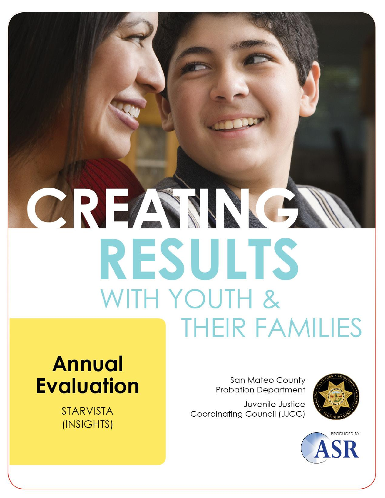# CREAMNE **RESULTS** WITH YOUTH & **THEIR FAMILIES**

## **Annual Evaluation**

**STARVISTA** (INSIGHTS)

San Mateo County **Probation Department** 

Juvenile Justice Coordinating Council (JJCC)



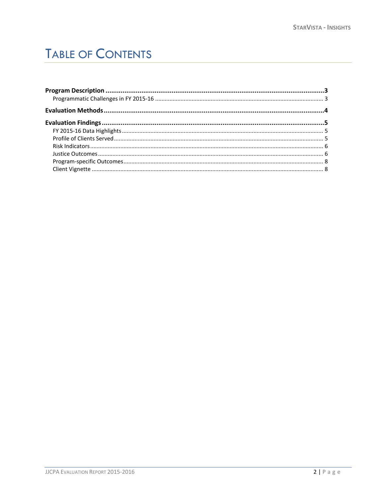## **TABLE OF CONTENTS**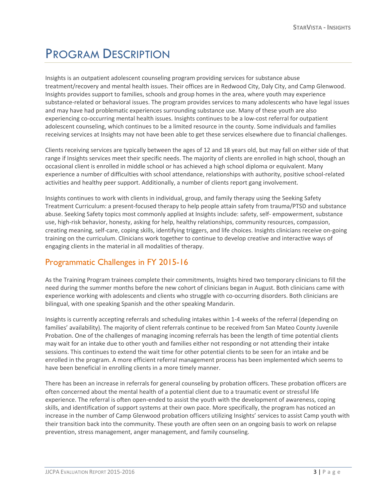## <span id="page-2-0"></span>PROGRAM DESCRIPTION

Insights is an outpatient adolescent counseling program providing services for substance abuse treatment/recovery and mental health issues. Their offices are in Redwood City, Daly City, and Camp Glenwood. Insights provides support to families, schools and group homes in the area, where youth may experience substance-related or behavioral issues. The program provides services to many adolescents who have legal issues and may have had problematic experiences surrounding substance use. Many of these youth are also experiencing co-occurring mental health issues. Insights continues to be a low-cost referral for outpatient adolescent counseling, which continues to be a limited resource in the county. Some individuals and families receiving services at Insights may not have been able to get these services elsewhere due to financial challenges.

Clients receiving services are typically between the ages of 12 and 18 years old, but may fall on either side of that range if Insights services meet their specific needs. The majority of clients are enrolled in high school, though an occasional client is enrolled in middle school or has achieved a high school diploma or equivalent. Many experience a number of difficulties with school attendance, relationships with authority, positive school-related activities and healthy peer support. Additionally, a number of clients report gang involvement.

Insights continues to work with clients in individual, group, and family therapy using the Seeking Safety Treatment Curriculum: a present-focused therapy to help people attain safety from trauma/PTSD and substance abuse. Seeking Safety topics most commonly applied at Insights include: safety, self- empowerment, substance use, high-risk behavior, honesty, asking for help, healthy relationships, community resources, compassion, creating meaning, self-care, coping skills, identifying triggers, and life choices. Insights clinicians receive on-going training on the curriculum. Clinicians work together to continue to develop creative and interactive ways of engaging clients in the material in all modalities of therapy.

#### <span id="page-2-1"></span>Programmatic Challenges in FY 2015-16

As the Training Program trainees complete their commitments, Insights hired two temporary clinicians to fill the need during the summer months before the new cohort of clinicians began in August. Both clinicians came with experience working with adolescents and clients who struggle with co-occurring disorders. Both clinicians are bilingual, with one speaking Spanish and the other speaking Mandarin.

Insights is currently accepting referrals and scheduling intakes within 1-4 weeks of the referral (depending on families' availability). The majority of client referrals continue to be received from San Mateo County Juvenile Probation. One of the challenges of managing incoming referrals has been the length of time potential clients may wait for an intake due to other youth and families either not responding or not attending their intake sessions. This continues to extend the wait time for other potential clients to be seen for an intake and be enrolled in the program. A more efficient referral management process has been implemented which seems to have been beneficial in enrolling clients in a more timely manner.

There has been an increase in referrals for general counseling by probation officers. These probation officers are often concerned about the mental health of a potential client due to a traumatic event or stressful life experience. The referral is often open-ended to assist the youth with the development of awareness, coping skills, and identification of support systems at their own pace. More specifically, the program has noticed an increase in the number of Camp Glenwood probation officers utilizing Insights' services to assist Camp youth with their transition back into the community. These youth are often seen on an ongoing basis to work on relapse prevention, stress management, anger management, and family counseling.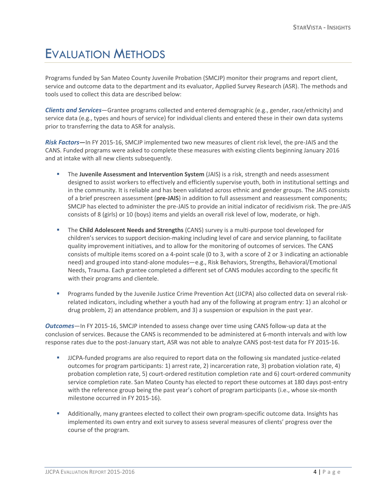## <span id="page-3-0"></span>EVALUATION METHODS

Programs funded by San Mateo County Juvenile Probation (SMCJP) monitor their programs and report client, service and outcome data to the department and its evaluator, Applied Survey Research (ASR). The methods and tools used to collect this data are described below:

*Clients and Services*—Grantee programs collected and entered demographic (e.g., gender, race/ethnicity) and service data (e.g., types and hours of service) for individual clients and entered these in their own data systems prior to transferring the data to ASR for analysis.

*Risk Factors***—**In FY 2015-16, SMCJP implemented two new measures of client risk level, the pre-JAIS and the CANS. Funded programs were asked to complete these measures with existing clients beginning January 2016 and at intake with all new clients subsequently.

- The **Juvenile Assessment and Intervention System** (JAIS) is a risk, strength and needs assessment designed to assist workers to effectively and efficiently supervise youth, both in institutional settings and in the community. It is reliable and has been validated across ethnic and gender groups. The JAIS consists of a brief prescreen assessment (**pre-JAIS**) in addition to full assessment and reassessment components; SMCJP has elected to administer the pre-JAIS to provide an initial indicator of recidivism risk. The pre-JAIS consists of 8 (girls) or 10 (boys) items and yields an overall risk level of low, moderate, or high.
- The **Child Adolescent Needs and Strengths** (CANS) survey is a multi-purpose tool developed for children's services to support decision-making including level of care and service planning, to facilitate quality improvement initiatives, and to allow for the monitoring of outcomes of services. The CANS consists of multiple items scored on a 4-point scale (0 to 3, with a score of 2 or 3 indicating an actionable need) and grouped into stand-alone modules—e.g., Risk Behaviors, Strengths, Behavioral/Emotional Needs, Trauma. Each grantee completed a different set of CANS modules according to the specific fit with their programs and clientele.
- Programs funded by the Juvenile Justice Crime Prevention Act (JJCPA) also collected data on several riskrelated indicators, including whether a youth had any of the following at program entry: 1) an alcohol or drug problem, 2) an attendance problem, and 3) a suspension or expulsion in the past year.

*Outcomes*—In FY 2015-16, SMCJP intended to assess change over time using CANS follow-up data at the conclusion of services. Because the CANS is recommended to be administered at 6-month intervals and with low response rates due to the post-January start, ASR was not able to analyze CANS post-test data for FY 2015-16.

- JJCPA-funded programs are also required to report data on the following six mandated justice-related outcomes for program participants: 1) arrest rate, 2) incarceration rate, 3) probation violation rate, 4) probation completion rate, 5) court-ordered restitution completion rate and 6) court-ordered community service completion rate. San Mateo County has elected to report these outcomes at 180 days post-entry with the reference group being the past year's cohort of program participants (i.e., whose six-month milestone occurred in FY 2015-16).
- Additionally, many grantees elected to collect their own program-specific outcome data. Insights has implemented its own entry and exit survey to assess several measures of clients' progress over the course of the program.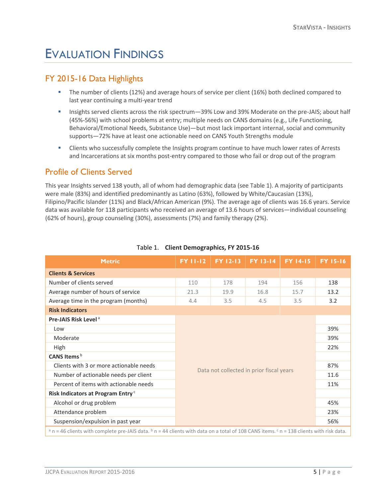## <span id="page-4-0"></span>EVALUATION FINDINGS

#### <span id="page-4-1"></span>FY 2015-16 Data Highlights

- The number of clients (12%) and average hours of service per client (16%) both declined compared to last year continuing a multi-year trend
- Insights served clients across the risk spectrum—39% Low and 39% Moderate on the pre-JAIS; about half (45%-56%) with school problems at entry; multiple needs on CANS domains (e.g., Life Functioning, Behavioral/Emotional Needs, Substance Use)—but most lack important internal, social and community supports—72% have at least one actionable need on CANS Youth Strengths module
- Clients who successfully complete the Insights program continue to have much lower rates of Arrests and Incarcerations at six months post-entry compared to those who fail or drop out of the program

#### <span id="page-4-2"></span>Profile of Clients Served

This year Insights served 138 youth, all of whom had demographic data (see Table 1). A majority of participants were male (83%) and identified predominantly as Latino (63%), followed by White/Caucasian (13%), Filipino/Pacific Islander (11%) and Black/African American (9%). The average age of clients was 16.6 years. Service data was available for 118 participants who received an average of 13.6 hours of services—individual counseling (62% of hours), group counseling (30%), assessments (7%) and family therapy (2%).

<span id="page-4-3"></span>

| <b>Metric</b>                                                                                                                                                    | <b>FY 11-12</b>                                                                    | FY 12-13 | <b>FY 13-14</b> | <b>FY 14-15</b> | <b>FY 15-16</b> |
|------------------------------------------------------------------------------------------------------------------------------------------------------------------|------------------------------------------------------------------------------------|----------|-----------------|-----------------|-----------------|
| <b>Clients &amp; Services</b>                                                                                                                                    |                                                                                    |          |                 |                 |                 |
| Number of clients served                                                                                                                                         | 110                                                                                | 178      | 194             | 156             | 138             |
| Average number of hours of service                                                                                                                               | 21.3                                                                               | 19.9     | 16.8            | 15.7            | 13.2            |
| Average time in the program (months)                                                                                                                             | 4.4                                                                                | 3.5      | 4.5             | 3.5             | 3.2             |
| <b>Risk Indicators</b>                                                                                                                                           |                                                                                    |          |                 |                 |                 |
| Pre-JAIS Risk Level <sup>a</sup>                                                                                                                                 |                                                                                    |          |                 |                 |                 |
| Low                                                                                                                                                              | 39%<br>39%<br>22%<br>Data not collected in prior fiscal years<br>11%<br>45%<br>23% |          |                 |                 |                 |
| Moderate                                                                                                                                                         |                                                                                    |          |                 |                 |                 |
| High                                                                                                                                                             |                                                                                    |          |                 |                 |                 |
| CANS Items <sup>b</sup>                                                                                                                                          |                                                                                    |          |                 |                 |                 |
| Clients with 3 or more actionable needs                                                                                                                          |                                                                                    |          |                 | 87%             |                 |
| Number of actionable needs per client                                                                                                                            |                                                                                    |          |                 | 11.6            |                 |
| Percent of items with actionable needs                                                                                                                           |                                                                                    |          |                 |                 |                 |
| Risk Indicators at Program Entry <sup>c</sup>                                                                                                                    |                                                                                    |          |                 |                 |                 |
| Alcohol or drug problem                                                                                                                                          |                                                                                    |          |                 |                 |                 |
| Attendance problem                                                                                                                                               |                                                                                    |          |                 |                 |                 |
| Suspension/expulsion in past year                                                                                                                                |                                                                                    |          |                 |                 | 56%             |
| a n = 46 clients with complete pre-JAIS data. $\frac{b}{n}$ n = 44 clients with data on a total of 108 CANS items. $\frac{c}{n}$ n = 138 clients with risk data. |                                                                                    |          |                 |                 |                 |

#### Table 1. **Client Demographics, FY 2015-16**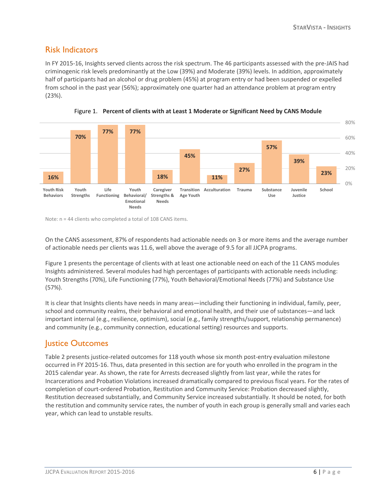#### Risk Indicators

In FY 2015-16, Insights served clients across the risk spectrum. The 46 participants assessed with the pre-JAIS had criminogenic risk levels predominantly at the Low (39%) and Moderate (39%) levels. In addition, approximately half of participants had an alcohol or drug problem (45%) at program entry or had been suspended or expelled from school in the past year (56%); approximately one quarter had an attendance problem at program entry (23%).





Note: n = 44 clients who completed a total of 108 CANS items.

On the CANS assessment, 87% of respondents had actionable needs on 3 or more items and the average number of actionable needs per clients was 11.6, well above the average of 9.5 for all JJCPA programs.

Figure 1 presents the percentage of clients with at least one actionable need on each of the 11 CANS modules Insights administered. Several modules had high percentages of participants with actionable needs including: Youth Strengths (70%), Life Functioning (77%), Youth Behavioral/Emotional Needs (77%) and Substance Use (57%).

It is clear that Insights clients have needs in many areas—including their functioning in individual, family, peer, school and community realms, their behavioral and emotional health, and their use of substances—and lack important internal (e.g., resilience, optimism), social (e.g., family strengths/support, relationship permanence) and community (e.g., community connection, educational setting) resources and supports.

#### <span id="page-5-0"></span>Justice Outcomes

Table 2 presents justice-related outcomes for 118 youth whose six month post-entry evaluation milestone occurred in FY 2015-16. Thus, data presented in this section are for youth who enrolled in the program in the 2015 calendar year. As shown, the rate for Arrests decreased slightly from last year, while the rates for Incarcerations and Probation Violations increased dramatically compared to previous fiscal years. For the rates of completion of court-ordered Probation, Restitution and Community Service: Probation decreased slightly, Restitution decreased substantially, and Community Service increased substantially. It should be noted, for both the restitution and community service rates, the number of youth in each group is generally small and varies each year, which can lead to unstable results.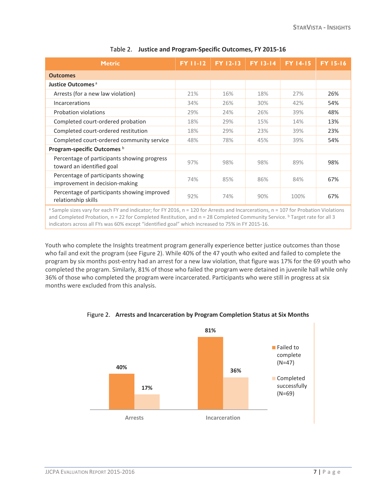| <b>Metric</b>                                                            | <b>FY 11-12</b> | <b>FY 12-13</b> | <b>FY 13-14</b> | <b>FY 14-15</b> | <b>FY 15-16</b> |
|--------------------------------------------------------------------------|-----------------|-----------------|-----------------|-----------------|-----------------|
| <b>Outcomes</b>                                                          |                 |                 |                 |                 |                 |
| Justice Outcomes <sup>a</sup>                                            |                 |                 |                 |                 |                 |
| Arrests (for a new law violation)                                        | 21%             | 16%             | 18%             | 27%             | 26%             |
| <b>Incarcerations</b>                                                    | 34%             | 26%             | 30%             | 42%             | 54%             |
| Probation violations                                                     | 29%             | 24%             | 26%             | 39%             | 48%             |
| Completed court-ordered probation                                        | 18%             | 29%             | 15%             | 14%             | 13%             |
| Completed court-ordered restitution                                      | 18%             | 29%             | 23%             | 39%             | 23%             |
| Completed court-ordered community service                                | 48%             | 78%             | 45%             | 39%             | 54%             |
| Program-specific Outcomes <sup>b</sup>                                   |                 |                 |                 |                 |                 |
| Percentage of participants showing progress<br>toward an identified goal | 97%             | 98%             | 98%             | 89%             | 98%             |
| Percentage of participants showing<br>improvement in decision-making     | 74%             | 85%             | 86%             | 84%             | 67%             |
| Percentage of participants showing improved<br>relationship skills       | 92%             | 74%             | 90%             | 100%            | 67%             |

#### Table 2. **Justice and Program-Specific Outcomes, FY 2015-16**

a Sample sizes vary for each FY and indicator; for FY 2016, n = 120 for Arrests and Incarcerations, n = 107 for Probation Violations and Completed Probation, n = 22 for Completed Restitution, and n = 28 Completed Community Service. **b** Target rate for all 3 indicators across all FYs was 60% except "identified goal" which increased to 75% in FY 2015-16.

Youth who complete the Insights treatment program generally experience better justice outcomes than those who fail and exit the program (see Figure 2). While 40% of the 47 youth who exited and failed to complete the program by six months post-entry had an arrest for a new law violation, that figure was 17% for the 69 youth who completed the program. Similarly, 81% of those who failed the program were detained in juvenile hall while only 36% of those who completed the program were incarcerated. Participants who were still in progress at six months were excluded from this analysis.

<span id="page-6-0"></span>

Figure 2. **Arrests and Incarceration by Program Completion Status at Six Months**